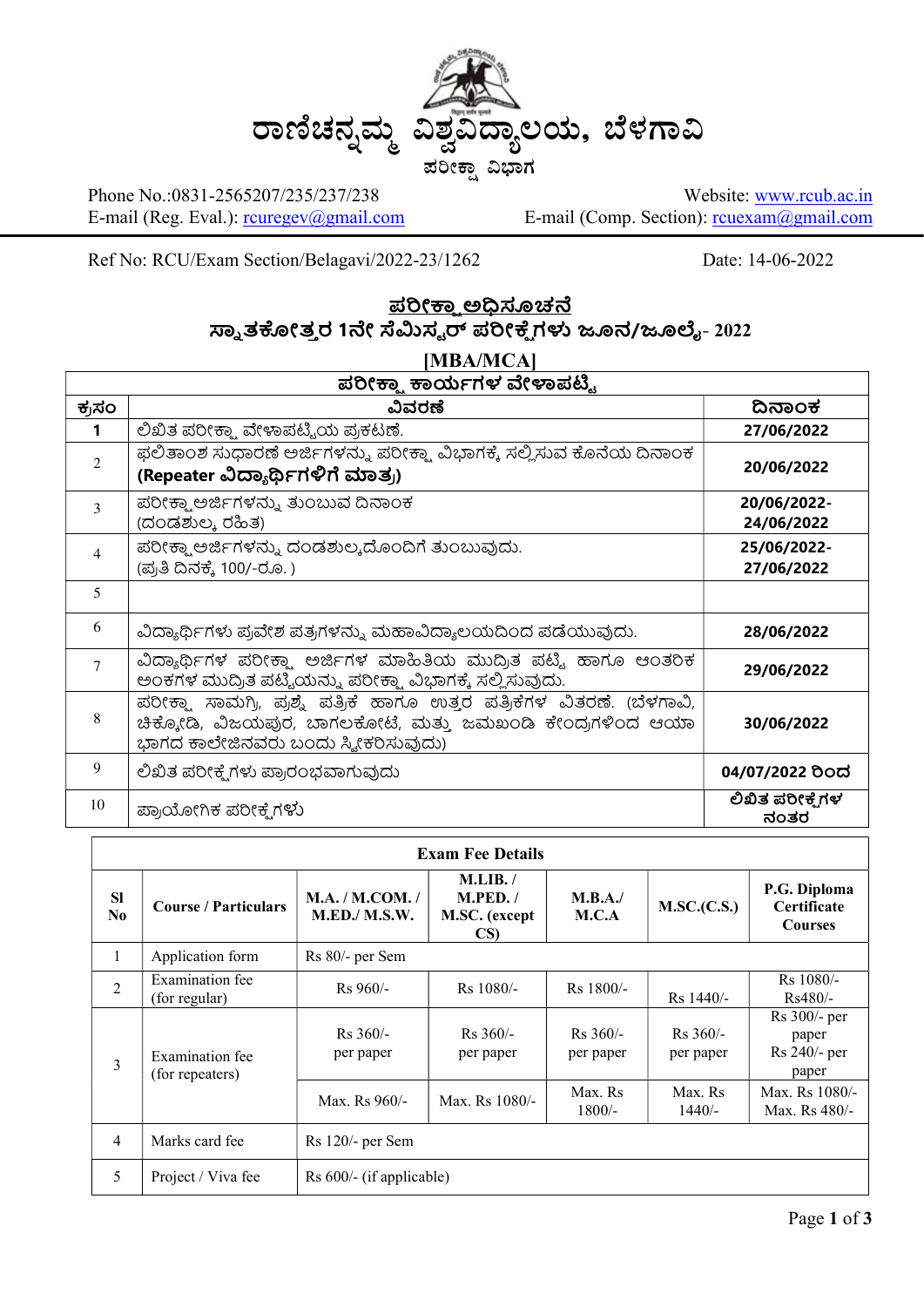

Phone No.:0831-2565207/235/237/238 E-mail (Reg. Eval.): rouregev@gmail.com

Website: www.rcub.ac.in E-mail (Comp. Section): rcuexam@gmail.com

Ref No: RCU/Exam Section/Belagavi/2022-23/1262 Date: 14-06-2022

### <u>ಪರೀಕಾ ಅಧಿಸೂಚನೆ</u> ಸ್ನಾತಕೋತ್ತರ 1ನೇ ಸೆಮಿಸ್ಟರ್ ಪರೀಕ್ಷೆಗಳು ಜೂನ/ಜೂಲೈ- 2022

| [MBA/MCA]                   |                                                                                                                                                                               |                           |  |  |  |
|-----------------------------|-------------------------------------------------------------------------------------------------------------------------------------------------------------------------------|---------------------------|--|--|--|
| ಪರೀಕ್ಷ್ಣಾ ಕಾರ್ಯಗಳ ವೇಳಾಪಟ್ಟಿ |                                                                                                                                                                               |                           |  |  |  |
| ಕ್ರಸಂ                       | ವಿವರಣೆ                                                                                                                                                                        | ದಿನಾಂಕ                    |  |  |  |
|                             | ಲಿಖಿತ ಪರೀಕ್ಷ್ಮಾ ವೇಳಾಪಟ್ಟಿಯ ಪ್ರಕಟಣೆ.                                                                                                                                           | 27/06/2022                |  |  |  |
| $\mathfrak{D}$              | ಫಲಿತಾಂಶ ಸುಧಾರಣೆ ಅರ್ಜಿಗಳನ್ನು ಪರೀಕ್ಷಾ ವಿಭಾಗಕ್ಕೆ ಸಲ್ಲಿಸುವ ಕೊನೆಯ ದಿನಾಂಕ<br>(Repeater ವಿದ್ಯಾರ್ಥಿಗಳಿಗೆ ಮಾತ್ರ)                                                                       | 20/06/2022                |  |  |  |
| 3                           | ಪರೀಕ್ಷ್ಮಾಅರ್ಜಿಗಳನ್ನು ತುಂಬುವ ದಿನಾಂಕ<br>(ದಂಡಶುಲ್ಕ ರಹಿತ)                                                                                                                         | 20/06/2022-<br>24/06/2022 |  |  |  |
| $\overline{4}$              | ಪರೀಕ್ಷಾ ಅರ್ಜಿಗಳನ್ನು ದಂಡಶುಲ್ಕದೊಂದಿಗೆ ತುಂಬುವುದು.<br>(ಪ್ರತಿ ದಿನಕ್ಕೆ 100/-ರೂ.)                                                                                                    | 25/06/2022-<br>27/06/2022 |  |  |  |
| 5                           |                                                                                                                                                                               |                           |  |  |  |
| 6                           | ವಿದ್ಯಾರ್ಥಿಗಳು ಪ್ರವೇಶ ಪತ್ರಗಳನ್ನು ಮಹಾವಿದ್ಯಾಲಯದಿಂದ ಪಡೆಯುವುದು.                                                                                                                    | 28/06/2022                |  |  |  |
| $\overline{7}$              | ವಿದ್ಯಾರ್ಥಿಗಳ ಪರೀಕ್ಷಾ ಅರ್ಜಿಗಳ ಮಾಹಿತಿಯ ಮುದ್ರಿತ ಪಟ್ಟಿ ಹಾಗೂ ಆಂತರಿಕ<br>ಅಂಕಗಳ ಮುದ್ರಿತ ಪಟ್ಟಿಯನ್ನು ಪರೀಕ್ಷಾ ವಿಭಾಗಕ್ಕೆ ಸಲ್ಲಿಸುವುದು.                                                     | 29/06/2022                |  |  |  |
| 8                           | ಪರೀಕ್ಷಾ ಸಾಮಗ್ರಿ, ಪ್ರಶ್ನೆ ಪತ್ರಿಕೆ ಹಾಗೂ ಉತ್ತರ ಪತ್ರಿಕೆಗಳ ವಿತರಣೆ. (ಬೆಳಗಾವಿ,<br>ಚಿಕ್ಕೋಡಿ, ವಿಜಯಪುರ, ಬಾಗಲಕೋಟೆ, ಮತ್ತು ಜಮಖಂಡಿ ಕೇಂದ್ರಗಳಿಂದ ಆಯಾ<br>ಭಾಗದ ಕಾಲೇಜಿನವರು ಬಂದು ಸ್ಕ್ರೀಕರಿಸುವುದು) | 30/06/2022                |  |  |  |
| 9                           | ಲಿಖಿತ ಪರೀಕ್ಷೆಗಳು ಪ್ರಾರಂಭವಾಗುವುದು                                                                                                                                              | 04/07/2022 ರಿಂದ           |  |  |  |
| 10                          | ಪ್ರಾಯೋಗಿಕ ಪರೀಕ್ಷೆಗಳು                                                                                                                                                          | ಲಿಖಿತ ಪರೀಕ್ಷೆಗಳ<br>ನಂತರ   |  |  |  |

| <b>Exam Fee Details</b> |                                    |                                          |                                              |                         |                         |                                                      |  |
|-------------------------|------------------------------------|------------------------------------------|----------------------------------------------|-------------------------|-------------------------|------------------------------------------------------|--|
| <b>SI</b><br>No.        | <b>Course / Particulars</b>        | M.A. / M. COM. /<br><b>M.ED./ M.S.W.</b> | M.LIB. /<br>M.PED. /<br>M.SC. (except<br>CS) | M.B.A.<br>M.C.A         | M.SC.(C.S.)             | P.G. Diploma<br><b>Certificate</b><br><b>Courses</b> |  |
| 1                       | Application form                   | Rs 80/- per Sem                          |                                              |                         |                         |                                                      |  |
| $\overline{2}$          | Examination fee<br>(for regular)   | $Rs 960/-$                               | $Rs$ 1080/-                                  | $Rs$ 1800/-             | $Rs$ 1440/-             | Rs 1080/-<br>$Rs480/-$                               |  |
| 3                       | Examination fee<br>(for repeaters) | $Rs 360/-$<br>per paper                  | $Rs 360/-$<br>per paper                      | $Rs 360/-$<br>per paper | $Rs 360/-$<br>per paper | Rs 300/- per<br>paper<br>Rs 240/- per<br>paper       |  |
|                         |                                    | Max. Rs 960/-                            | Max. Rs 1080/-                               | Max. Rs<br>$1800/-$     | Max. Rs<br>$1440/-$     | Max. Rs 1080/-<br>Max. Rs 480/-                      |  |
| $\overline{4}$          | Marks card fee                     | $Rs$ 120/- per Sem                       |                                              |                         |                         |                                                      |  |
| 5                       | Project / Viva fee                 | Rs 600/- (if applicable)                 |                                              |                         |                         |                                                      |  |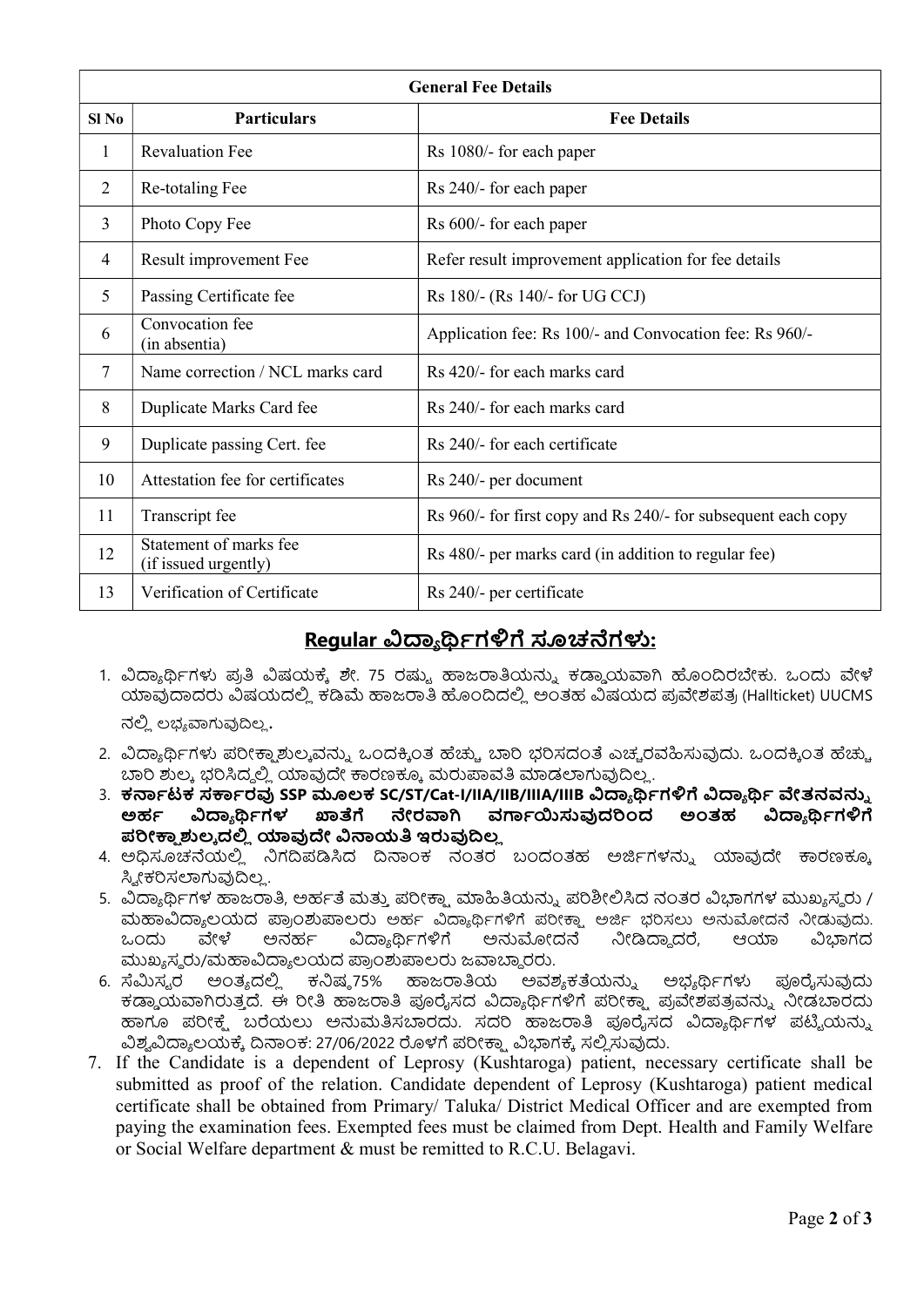| <b>General Fee Details</b> |                                                |                                                               |  |  |
|----------------------------|------------------------------------------------|---------------------------------------------------------------|--|--|
| $SI$ No                    | <b>Particulars</b>                             | <b>Fee Details</b>                                            |  |  |
| 1                          | <b>Revaluation Fee</b>                         | Rs 1080/- for each paper                                      |  |  |
| 2                          | Re-totaling Fee                                | Rs 240/- for each paper                                       |  |  |
| 3                          | Photo Copy Fee                                 | Rs 600/- for each paper                                       |  |  |
| $\overline{4}$             | Result improvement Fee                         | Refer result improvement application for fee details          |  |  |
| 5                          | Passing Certificate fee                        | Rs 180/- (Rs 140/- for UG CCJ)                                |  |  |
| 6                          | Convocation fee<br>(in absentia)               | Application fee: Rs 100/- and Convocation fee: Rs 960/-       |  |  |
| 7                          | Name correction / NCL marks card               | Rs 420/- for each marks card                                  |  |  |
| 8                          | Duplicate Marks Card fee                       | Rs 240/- for each marks card                                  |  |  |
| 9                          | Duplicate passing Cert. fee                    | Rs 240/- for each certificate                                 |  |  |
| 10                         | Attestation fee for certificates               | Rs 240/- per document                                         |  |  |
| 11                         | Transcript fee                                 | Rs 960/- for first copy and Rs 240/- for subsequent each copy |  |  |
| 12                         | Statement of marks fee<br>(if issued urgently) | Rs 480/- per marks card (in addition to regular fee)          |  |  |
| 13                         | Verification of Certificate                    | Rs 240/- per certificate                                      |  |  |

## Regular ವಿದ್ಯಾರ್ಥಿಗಳಿಗೆ ಸೂಚನೆಗಳು:

- 1. ವಿದ್ಯಾರ್ಥಿಗಳು ಪ್ರತಿ ವಿಷಯಕ್ಕೆ ಶೇ. 75 ರಷ್ಯು ಹಾಜರಾತಿಯನ್ನು ಕಡ್ಡಾಯವಾಗಿ ಹೊಂದಿರಬೇಕು. ಒಂದು ವೇಳೆ ಯಾವುದಾದರು ವಿಷಯದಲ್ಲಿ ಕಡಿಮೆ ಹಾಜರಾತಿ ಹೊಂದಿದಲ್ಲಿ ಅಂತಹ ವಿಷಯದ ಪ್ರವೇಶಪತ್ರ (Hallticket) UUCMS ನಲ್ಲಿ ಲಭ್ಯವಾಗುವುದಿಲ್ಲ.
- 2. ವಿದ್ಯಾರ್ಥಿಗಳು ಪರೀಕ್ಷಾಶುಲ್ಕವನ್ನು ಒಂದಕ್ಕಿಂತ ಹೆಚ್ಚು ಬಾರಿ ಭರಿಸದಂತೆ ಎಚ್ಚರವಹಿಸುವುದು. ಒಂದಕ್ಕಿಂತ ಹೆಚ್ಚು ಬಾರಿ ಶುಲ್ಕ ಭರಿಸಿದ್ದಲ್ಲಿ ಯಾವುದೇ ಕಾರಣಕ್ಕೂ ಮರುಪಾವತಿ ಮಾಡಲಾಗುವುದಿಲ್ಲ.
- $3.$  ಕರ್ನಾಟಕ ಸರ್ಕಾರವು SSP ಮೂಲಕ SC/ST/Cat-I/IIA/IIB/IIIA/IIIB ವಿದ್ಯಾರ್ಥಿಗಳಿಗೆ ವಿದ್ಯಾರ್ಥಿ ವೇತನವನ್ನು ಅರ್ಹ ವಿದ್ಯಾರ್ಥಿಗಳ ಖಾತೆಗೆ ನೇರವಾಗಿ ವರ್ಗಾಯಿಸುವುದರಿಂದ ಅಂತಹ ವಿದ್ಯಾರ್ಥಿಗಳಿಗೆ ಪರೀಕ್ಕಾಶುಲ್ಕದಲ್ಲಿ ಯಾವುದೇ ವಿನಾಯತಿ ಇರುವುದಿಲ್ಲ
- 4. ಅಧಿಸೂಚನೆಯಲ್ಲಿ ನಿಗದಿಪಡಿಸಿದ ದಿನಾಂಕ ನಂತರ ಬಂದಂತಹ ಅರ್ಜಿಗಳನ್ನು ಯಾವುದೇ ಕಾರಣಕ್ಕೂ ಸ್ನೀಕರಿಸಲಾಗುವುದಿಲ್ಲ.
- 5. ವಿದ್ಯಾರ್ಥಿಗಳ ಹಾಜರಾತಿ, ಅರ್ಹತೆ ಮತ್ತು ಪರೀಕ್ಷಾ ಮಾಹಿತಿಯನ್ನು ಪರಿಶೀಲಿಸಿದ ನಂತರ ವಿಭಾಗಗಳ ಮುಖ್ಯಸ್ಥರು / ಮಹಾವಿದ್ಯಾಲಯದ ಪ್ರಾಂಶುಪಾಲರು ಅರ್ಹ ವಿದ್ಯಾರ್ಥಿಗಳಿಗೆ ಪರೀಕ್ಷಾ ಅರ್ಜಿ ಭರಿಸಲು ಅನುಮೋದನೆ ನೀಡುವುದು. ಒಂದು ವೇಳೆ ಅನರ್ಹ ವಿದ್ಯಾರ್ಥಿಗಳಿಗೆ ಅನುಮೋದನೆ ನೀಡಿದ್ದಾದರೆ, ಆಯಾ ವಿಭಾಗದ ಮುಖ್ಯಸ್ವರು/ಮಹಾವಿದ್ಯಾಲಯದ ಪ್ರಾಂಶುಪಾಲರು ಜವಾಬ್ದಾರರು.
- 6. ಸೆಮಿಸ್ಟರ ಅಂತ್ಯದಲ್ಲಿ ಕನಿಷ್ಠ75% ಹಾಜರಾತಿಯ ಅವಶ್ಯಕತೆಯನ್ನು ಅಭ್ಯರ್ಥಿಗಳು ಪೂರೈಸುವುದು ಕറಯ฿ಜฆತ౨ ං. ಈ คೕൟ ಜฃൟ තซಸದ เർ ൮ბಗัಡ ಪคೕ౽౹ ಪ ๆಶಪತವඝ౬ ඛೕಡರൿ ಹಾಗೂ ಪರೀಕ್ಷೆ. ಬರೆಯಲು ಅನುಮತಿಸಬಾರದು. ಸದರಿ ಹಾಜರಾತಿ ಪೂರೈಸದ ವಿದ್ಯಾರ್ಥಿಗಳ ಪಟ್ಟಿಯನ್ನು ವಿಶ್ವವಿದ್ಯಾಲಯಕ್ಕೆ ದಿನಾಂಕ: 27/06/2022 ರೊಳಗೆ ಪರೀಕ್ಷಾ ವಿಭಾಗಕ್ಕೆ ಸಲ್ಲಿಸುವುದು.
- 7. If the Candidate is a dependent of Leprosy (Kushtaroga) patient, necessary certificate shall be submitted as proof of the relation. Candidate dependent of Leprosy (Kushtaroga) patient medical certificate shall be obtained from Primary/ Taluka/ District Medical Officer and are exempted from paying the examination fees. Exempted fees must be claimed from Dept. Health and Family Welfare or Social Welfare department & must be remitted to R.C.U. Belagavi.